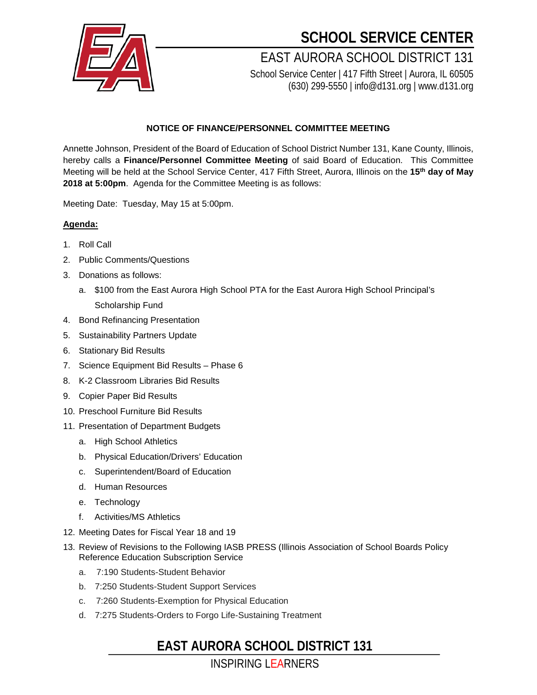

## **SCHOOL SERVICE CENTER**

EAST AURORA SCHOOL DISTRICT 131 School Service Center | 417 Fifth Street | Aurora, IL 60505

(630) 299-5550 | info@d131.org | www.d131.org

#### **NOTICE OF FINANCE/PERSONNEL COMMITTEE MEETING**

Annette Johnson, President of the Board of Education of School District Number 131, Kane County, Illinois, hereby calls a **Finance/Personnel Committee Meeting** of said Board of Education. This Committee Meeting will be held at the School Service Center, 417 Fifth Street, Aurora, Illinois on the **15th day of May 2018 at 5:00pm**. Agenda for the Committee Meeting is as follows:

Meeting Date: Tuesday, May 15 at 5:00pm.

#### **Agenda:**

- 1. Roll Call
- 2. Public Comments/Questions
- 3. Donations as follows:
	- a. \$100 from the East Aurora High School PTA for the East Aurora High School Principal's Scholarship Fund
- 4. Bond Refinancing Presentation
- 5. Sustainability Partners Update
- 6. Stationary Bid Results
- 7. Science Equipment Bid Results Phase 6
- 8. K-2 Classroom Libraries Bid Results
- 9. Copier Paper Bid Results
- 10. Preschool Furniture Bid Results
- 11. Presentation of Department Budgets
	- a. High School Athletics
	- b. Physical Education/Drivers' Education
	- c. Superintendent/Board of Education
	- d. Human Resources
	- e. Technology
	- f. Activities/MS Athletics
- 12. Meeting Dates for Fiscal Year 18 and 19
- 13. Review of Revisions to the Following IASB PRESS (Illinois Association of School Boards Policy Reference Education Subscription Service
	- a. 7:190 Students-Student Behavior
	- b. 7:250 Students-Student Support Services
	- c. 7:260 Students-Exemption for Physical Education
	- d. 7:275 Students-Orders to Forgo Life-Sustaining Treatment

### **EAST AURORA SCHOOL DISTRICT 131**